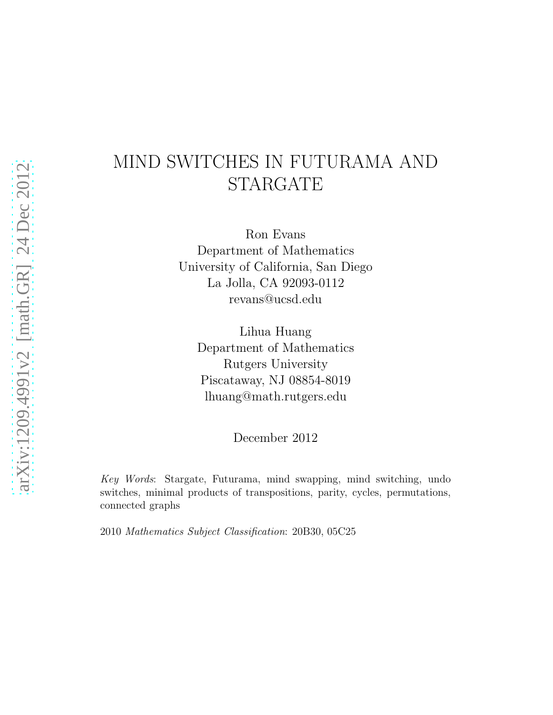# MIND SWITCHES IN FUTURAMA AND STARGATE

Ron Evans Department of Mathematics University of California, San Diego La Jolla, CA 92093-0112 revans@ucsd.edu

Lihua Huang Department of Mathematics Rutgers University Piscataway, NJ 08854-8019 lhuang@math.rutgers.edu

December 2012

Key Words: Stargate, Futurama, mind swapping, mind switching, undo switches, minimal products of transpositions, parity, cycles, permutations, connected graphs

2010 Mathematics Subject Classification: 20B30, 05C25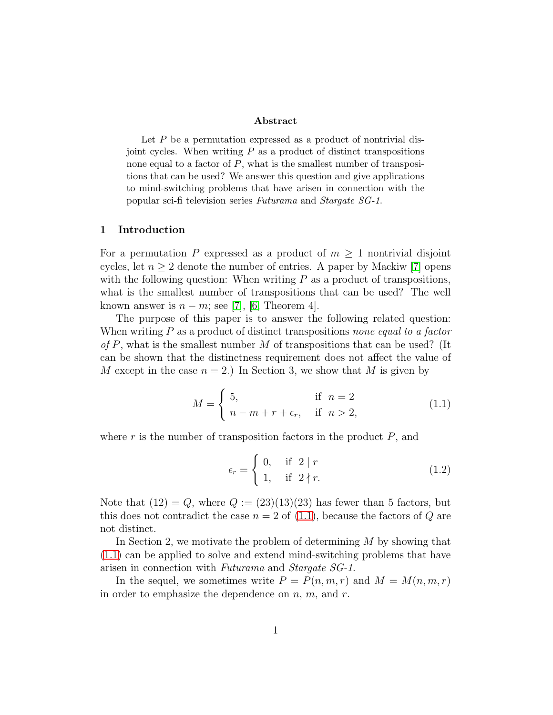#### Abstract

Let  $P$  be a permutation expressed as a product of nontrivial disjoint cycles. When writing  $P$  as a product of distinct transpositions none equal to a factor of  $P$ , what is the smallest number of transpositions that can be used? We answer this question and give applications to mind-switching problems that have arisen in connection with the popular sci-fi television series Futurama and Stargate SG-1.

#### 1 Introduction

For a permutation P expressed as a product of  $m > 1$  nontrivial disjoint cycles, let  $n \geq 2$  denote the number of entries. A paper by Mackiw [\[7\]](#page-7-0) opens with the following question: When writing  $P$  as a product of transpositions, what is the smallest number of transpositions that can be used? The well known answer is  $n - m$ ; see [\[7\]](#page-7-0), [\[6,](#page-7-1) Theorem 4].

The purpose of this paper is to answer the following related question: When writing  $P$  as a product of distinct transpositions none equal to a factor of P, what is the smallest number M of transpositions that can be used? (It can be shown that the distinctness requirement does not affect the value of M except in the case  $n = 2$ .) In Section 3, we show that M is given by

<span id="page-1-0"></span>
$$
M = \begin{cases} 5, & \text{if } n = 2\\ n - m + r + \epsilon_r, & \text{if } n > 2, \end{cases} \tag{1.1}
$$

where  $r$  is the number of transposition factors in the product  $P$ , and

$$
\epsilon_r = \begin{cases} 0, & \text{if } 2 \mid r \\ 1, & \text{if } 2 \nmid r. \end{cases} \tag{1.2}
$$

Note that  $(12) = Q$ , where  $Q := (23)(13)(23)$  has fewer than 5 factors, but this does not contradict the case  $n = 2$  of [\(1.1\)](#page-1-0), because the factors of Q are not distinct.

In Section 2, we motivate the problem of determining  $M$  by showing that [\(1.1\)](#page-1-0) can be applied to solve and extend mind-switching problems that have arisen in connection with Futurama and Stargate SG-1.

In the sequel, we sometimes write  $P = P(n, m, r)$  and  $M = M(n, m, r)$ in order to emphasize the dependence on  $n, m$ , and  $r$ .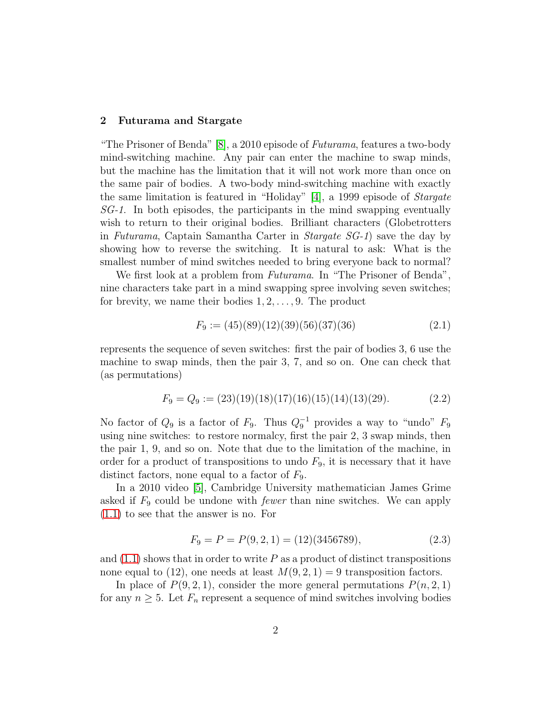#### 2 Futurama and Stargate

"The Prisoner of Benda"  $[8]$ , a 2010 episode of *Futurama*, features a two-body mind-switching machine. Any pair can enter the machine to swap minds, but the machine has the limitation that it will not work more than once on the same pair of bodies. A two-body mind-switching machine with exactly the same limitation is featured in "Holiday" [\[4\]](#page-7-3), a 1999 episode of *Stargate* SG-1. In both episodes, the participants in the mind swapping eventually wish to return to their original bodies. Brilliant characters (Globetrotters in Futurama, Captain Samantha Carter in Stargate SG-1) save the day by showing how to reverse the switching. It is natural to ask: What is the smallest number of mind switches needed to bring everyone back to normal?

We first look at a problem from *Futurama*. In "The Prisoner of Benda", nine characters take part in a mind swapping spree involving seven switches; for brevity, we name their bodies  $1, 2, \ldots, 9$ . The product

<span id="page-2-0"></span>
$$
F_9 := (45)(89)(12)(39)(56)(37)(36)
$$
\n
$$
(2.1)
$$

represents the sequence of seven switches: first the pair of bodies 3, 6 use the machine to swap minds, then the pair 3, 7, and so on. One can check that (as permutations)

<span id="page-2-2"></span>
$$
F_9 = Q_9 := (23)(19)(18)(17)(16)(15)(14)(13)(29). \tag{2.2}
$$

No factor of  $Q_9$  is a factor of  $F_9$ . Thus  $Q_9^{-1}$  provides a way to "undo"  $F_9$ using nine switches: to restore normalcy, first the pair 2, 3 swap minds, then the pair 1, 9, and so on. Note that due to the limitation of the machine, in order for a product of transpositions to undo  $F_9$ , it is necessary that it have distinct factors, none equal to a factor of  $F_9$ .

In a 2010 video [\[5\]](#page-7-4), Cambridge University mathematician James Grime asked if  $F_9$  could be undone with *fewer* than nine switches. We can apply [\(1.1\)](#page-1-0) to see that the answer is no. For

<span id="page-2-1"></span>
$$
F_9 = P = P(9, 2, 1) = (12)(3456789),
$$
\n(2.3)

and  $(1.1)$  shows that in order to write P as a product of distinct transpositions none equal to (12), one needs at least  $M(9, 2, 1) = 9$  transposition factors.

In place of  $P(9, 2, 1)$ , consider the more general permutations  $P(n, 2, 1)$ for any  $n \geq 5$ . Let  $F_n$  represent a sequence of mind switches involving bodies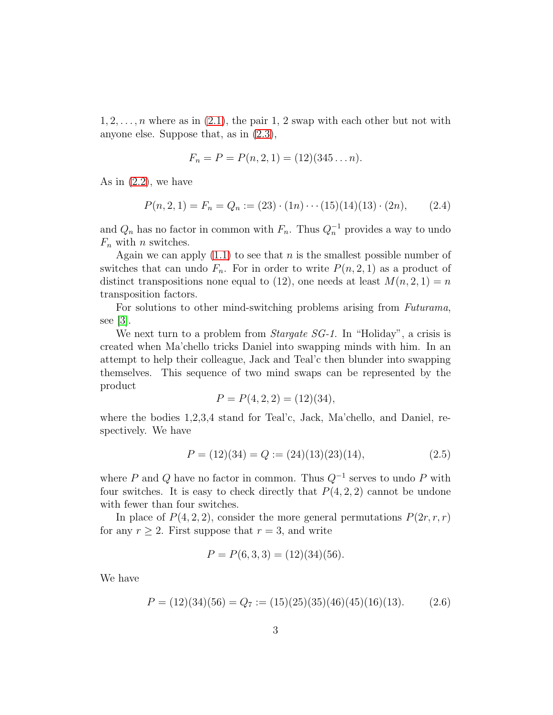$1, 2, \ldots, n$  where as in  $(2.1)$ , the pair 1, 2 swap with each other but not with anyone else. Suppose that, as in [\(2.3\)](#page-2-1),

$$
F_n = P = P(n, 2, 1) = (12)(345 \dots n).
$$

As in  $(2.2)$ , we have

<span id="page-3-2"></span>
$$
P(n,2,1) = F_n = Q_n := (23) \cdot (1n) \cdots (15)(14)(13) \cdot (2n), \qquad (2.4)
$$

and  $Q_n$  has no factor in common with  $F_n$ . Thus  $Q_n^{-1}$  provides a way to undo  $F_n$  with n switches.

Again we can apply  $(1.1)$  to see that n is the smallest possible number of switches that can undo  $F_n$ . For in order to write  $P(n, 2, 1)$  as a product of distinct transpositions none equal to (12), one needs at least  $M(n, 2, 1) = n$ transposition factors.

For solutions to other mind-switching problems arising from Futurama, see [\[3\]](#page-7-5).

We next turn to a problem from *Stargate SG-1*. In "Holiday", a crisis is created when Ma'chello tricks Daniel into swapping minds with him. In an attempt to help their colleague, Jack and Teal'c then blunder into swapping themselves. This sequence of two mind swaps can be represented by the product

$$
P = P(4, 2, 2) = (12)(34),
$$

where the bodies 1,2,3,4 stand for Teal'c, Jack, Ma'chello, and Daniel, respectively. We have

<span id="page-3-0"></span>
$$
P = (12)(34) = Q := (24)(13)(23)(14),
$$
\n(2.5)

where P and Q have no factor in common. Thus  $Q^{-1}$  serves to undo P with four switches. It is easy to check directly that  $P(4, 2, 2)$  cannot be undone with fewer than four switches.

In place of  $P(4, 2, 2)$ , consider the more general permutations  $P(2r, r, r)$ for any  $r \geq 2$ . First suppose that  $r = 3$ , and write

$$
P = P(6, 3, 3) = (12)(34)(56).
$$

We have

<span id="page-3-1"></span>
$$
P = (12)(34)(56) = Q_7 := (15)(25)(35)(46)(45)(16)(13). \tag{2.6}
$$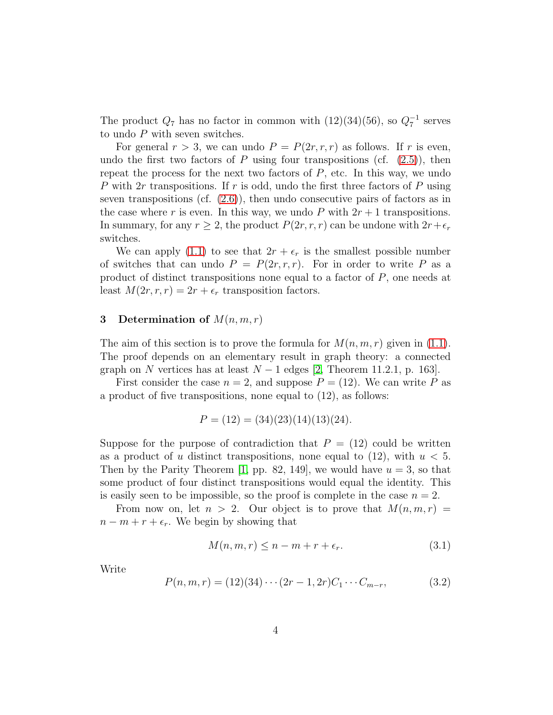The product  $Q_7$  has no factor in common with  $(12)(34)(56)$ , so  $Q_7^{-1}$  serves to undo P with seven switches.

For general  $r > 3$ , we can undo  $P = P(2r, r, r)$  as follows. If r is even, undo the first two factors of P using four transpositions (cf.  $(2.5)$ ), then repeat the process for the next two factors of  $P$ , etc. In this way, we undo P with  $2r$  transpositions. If r is odd, undo the first three factors of P using seven transpositions (cf.  $(2.6)$ ), then undo consecutive pairs of factors as in the case where r is even. In this way, we undo P with  $2r + 1$  transpositions. In summary, for any  $r \geq 2$ , the product  $P(2r, r, r)$  can be undone with  $2r + \epsilon_r$ switches.

We can apply [\(1.1\)](#page-1-0) to see that  $2r + \epsilon_r$  is the smallest possible number of switches that can undo  $P = P(2r, r, r)$ . For in order to write P as a product of distinct transpositions none equal to a factor of  $P$ , one needs at least  $M(2r, r, r) = 2r + \epsilon_r$  transposition factors.

### 3 Determination of  $M(n, m, r)$

The aim of this section is to prove the formula for  $M(n, m, r)$  given in [\(1.1\)](#page-1-0). The proof depends on an elementary result in graph theory: a connected graph on N vertices has at least  $N-1$  edges [\[2,](#page-7-6) Theorem 11.2.1, p. 163].

First consider the case  $n = 2$ , and suppose  $P = (12)$ . We can write P as a product of five transpositions, none equal to (12), as follows:

$$
P = (12) = (34)(23)(14)(13)(24).
$$

Suppose for the purpose of contradiction that  $P = (12)$  could be written as a product of u distinct transpositions, none equal to  $(12)$ , with  $u < 5$ . Then by the Parity Theorem [\[1,](#page-7-7) pp. 82, 149], we would have  $u = 3$ , so that some product of four distinct transpositions would equal the identity. This is easily seen to be impossible, so the proof is complete in the case  $n = 2$ .

From now on, let  $n > 2$ . Our object is to prove that  $M(n, m, r) =$  $n - m + r + \epsilon_r$ . We begin by showing that

<span id="page-4-0"></span>
$$
M(n, m, r) \le n - m + r + \epsilon_r. \tag{3.1}
$$

Write

$$
P(n, m, r) = (12)(34)\cdots(2r - 1, 2r)C_1\cdots C_{m-r},
$$
\n(3.2)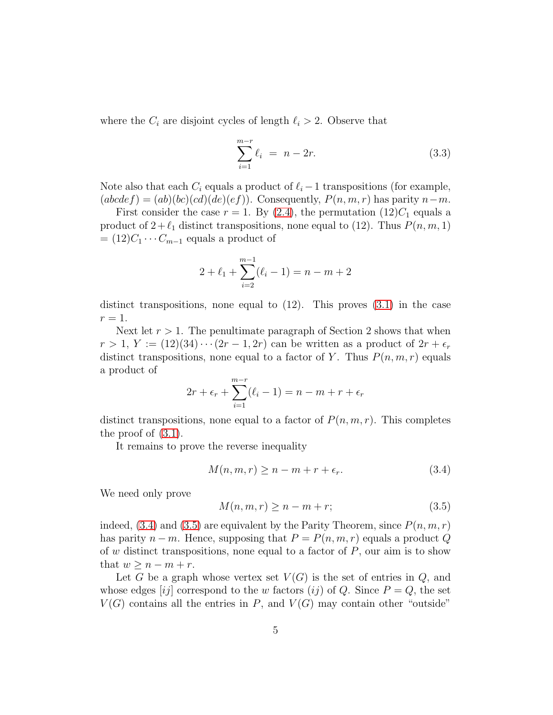where the  $C_i$  are disjoint cycles of length  $\ell_i > 2$ . Observe that

$$
\sum_{i=1}^{m-r} \ell_i = n - 2r.
$$
 (3.3)

Note also that each  $C_i$  equals a product of  $\ell_i - 1$  transpositions (for example,  $(abcdef) = (ab)(bc)(cd)(de)(ef)$ . Consequently,  $P(n, m, r)$  has parity  $n-m$ .

First consider the case  $r = 1$ . By [\(2.4\)](#page-3-2), the permutation (12) $C_1$  equals a product of  $2 + \ell_1$  distinct transpositions, none equal to (12). Thus  $P(n, m, 1)$  $=(12)C_1 \cdots C_{m-1}$  equals a product of

$$
2 + \ell_1 + \sum_{i=2}^{m-1} (\ell_i - 1) = n - m + 2
$$

distinct transpositions, none equal to  $(12)$ . This proves  $(3.1)$  in the case  $r=1$ .

Next let  $r > 1$ . The penultimate paragraph of Section 2 shows that when  $r > 1$ ,  $Y := (12)(34) \cdots (2r - 1, 2r)$  can be written as a product of  $2r + \epsilon_r$ distinct transpositions, none equal to a factor of Y. Thus  $P(n, m, r)$  equals a product of

$$
2r + \epsilon_r + \sum_{i=1}^{m-r} (\ell_i - 1) = n - m + r + \epsilon_r
$$

distinct transpositions, none equal to a factor of  $P(n, m, r)$ . This completes the proof of [\(3.1\)](#page-4-0).

It remains to prove the reverse inequality

<span id="page-5-0"></span>
$$
M(n, m, r) \ge n - m + r + \epsilon_r. \tag{3.4}
$$

We need only prove

<span id="page-5-1"></span>
$$
M(n, m, r) \ge n - m + r;
$$
\n<sup>(3.5)</sup>

indeed, [\(3.4\)](#page-5-0) and [\(3.5\)](#page-5-1) are equivalent by the Parity Theorem, since  $P(n, m, r)$ has parity  $n - m$ . Hence, supposing that  $P = P(n, m, r)$  equals a product Q of w distinct transpositions, none equal to a factor of  $P$ , our aim is to show that  $w \geq n - m + r$ .

Let G be a graph whose vertex set  $V(G)$  is the set of entries in  $Q$ , and whose edges [ij] correspond to the w factors (ij) of Q. Since  $P = Q$ , the set  $V(G)$  contains all the entries in P, and  $V(G)$  may contain other "outside"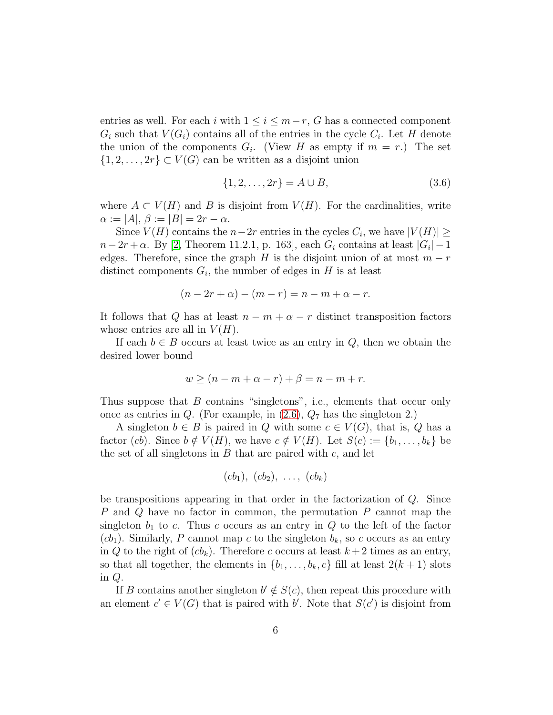entries as well. For each i with  $1 \leq i \leq m-r$ , G has a connected component  $G_i$  such that  $V(G_i)$  contains all of the entries in the cycle  $C_i$ . Let H denote the union of the components  $G_i$ . (View H as empty if  $m = r$ .) The set  $\{1, 2, \ldots, 2r\} \subset V(G)$  can be written as a disjoint union

$$
\{1, 2, \dots, 2r\} = A \cup B,\tag{3.6}
$$

where  $A \subset V(H)$  and B is disjoint from  $V(H)$ . For the cardinalities, write  $\alpha := |A|, \beta := |B| = 2r - \alpha.$ 

Since  $V(H)$  contains the  $n-2r$  entries in the cycles  $C_i$ , we have  $|V(H)| \ge$  $n-2r + \alpha$ . By [\[2,](#page-7-6) Theorem 11.2.1, p. 163], each  $G_i$  contains at least  $|G_i| - 1$ edges. Therefore, since the graph H is the disjoint union of at most  $m - r$ distinct components  $G_i$ , the number of edges in H is at least

$$
(n-2r+\alpha)-(m-r)=n-m+\alpha-r.
$$

It follows that Q has at least  $n - m + \alpha - r$  distinct transposition factors whose entries are all in  $V(H)$ .

If each  $b \in B$  occurs at least twice as an entry in  $Q$ , then we obtain the desired lower bound

$$
w \ge (n - m + \alpha - r) + \beta = n - m + r.
$$

Thus suppose that B contains "singletons", i.e., elements that occur only once as entries in  $Q$ . (For example, in  $(2.6)$ ,  $Q_7$  has the singleton 2.)

A singleton  $b \in B$  is paired in Q with some  $c \in V(G)$ , that is, Q has a factor (cb). Since  $b \notin V(H)$ , we have  $c \notin V(H)$ . Let  $S(c) := \{b_1, \ldots, b_k\}$  be the set of all singletons in  $B$  that are paired with  $c$ , and let

$$
(cb1), (cb2), ..., (cbk)
$$

be transpositions appearing in that order in the factorization of Q. Since P and Q have no factor in common, the permutation P cannot map the singleton  $b_1$  to c. Thus c occurs as an entry in Q to the left of the factor  $(cb_1)$ . Similarly, P cannot map c to the singleton  $b_k$ , so c occurs as an entry in Q to the right of  $(cb_k)$ . Therefore c occurs at least  $k + 2$  times as an entry, so that all together, the elements in  $\{b_1, \ldots, b_k, c\}$  fill at least  $2(k+1)$  slots in Q.

If B contains another singleton  $b' \notin S(c)$ , then repeat this procedure with an element  $c' \in V(G)$  that is paired with b'. Note that  $S(c')$  is disjoint from